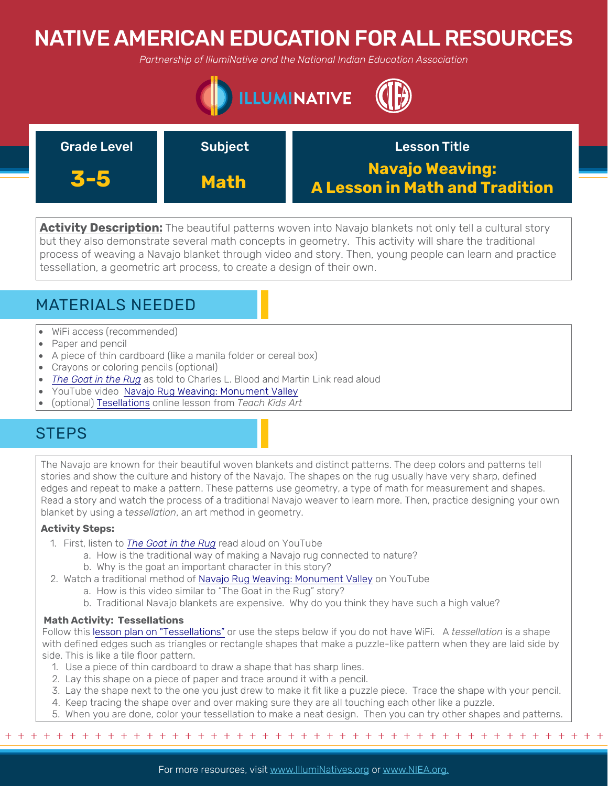# NATIVE AMERICAN EDUCATION FOR ALL RESOURCES

*Partnership of IllumiNative and the National Indian Education Association*



| <b>Grade Level</b> | <b>Subject</b> | <b>Lesson Title</b>                                      |
|--------------------|----------------|----------------------------------------------------------|
| <b>KE5</b>         | <b>Math</b>    | <b>Navajo Weaving:</b><br>A Lesson in Math and Tradition |

**Activity Description:** The beautiful patterns woven into Navajo blankets not only tell a cultural story but they also demonstrate several math concepts in geometry. This activity will share the traditional process of weaving a Navajo blanket through video and story. Then, young people can learn and practice tessellation, a geometric art process, to create a design of their own.

## MATERIALS NEEDED

- WiFi access (recommended)
- Paper and pencil
- A piece of thin cardboard (like a manila folder or cereal box)
- Crayons or coloring pencils (optional)
- *[The Goat in the Rug](https://www.youtube.com/watch?v=nCek0vg9Fys)* as told to Charles L. Blood and Martin Link read aloud
- YouTube video [Navajo Rug Weaving: Monument Valley](https://www.youtube.com/watch?v=DeAlIgHhPAE)
- (optional) [Tesellations](http://www.teachkidsart.net/tessellations/) online lesson from *Teach Kids Art*

## **STEPS**

The Navajo are known for their beautiful woven blankets and distinct patterns. The deep colors and patterns tell stories and show the culture and history of the Navajo. The shapes on the rug usually have very sharp, defined edges and repeat to make a pattern. These patterns use geometry, a type of math for measurement and shapes. Read a story and watch the process of a traditional Navajo weaver to learn more. Then, practice designing your own blanket by using a t*essellation*, an art method in geometry.

### **Activity Steps:**

- 1. First, listen to *[The Goat in the Rug](https://www.youtube.com/watch?v=nCek0vg9Fys)* read aloud on YouTube
	- a. How is the traditional way of making a Navajo rug connected to nature?
		- b. Why is the goat an important character in this story?
- 2. Watch a traditional method o[f Navajo Rug Weaving: Monument Valley](https://www.youtube.com/watch?v=DeAlIgHhPAE) on YouTube
	- a. How is this video similar to "The Goat in the Rug" story?
	- b. Traditional Navajo blankets are expensive. Why do you think they have such a high value?

### **Math Activity: Tessellations**

Follow this [lesson plan on "Tessellations"](http://www.teachkidsart.net/tessellations/) or use the steps below if you do not have WiFi. A *tessellation* is a shape with defined edges such as triangles or rectangle shapes that make a puzzle-like pattern when they are laid side by side. This is like a tile floor pattern.

- 1. Use a piece of thin cardboard to draw a shape that has sharp lines.
- 2. Lay this shape on a piece of paper and trace around it with a pencil.
- 3. Lay the shape next to the one you just drew to make it fit like a puzzle piece. Trace the shape with your pencil.
- 4. Keep tracing the shape over and over making sure they are all touching each other like a puzzle.
- 5. When you are done, color your tessellation to make a neat design. Then you can try other shapes and patterns.

+ + + + + + + + + + + + + + + + + + + + + + + + + + + + + + + + + + + + + + + + + + + + + + + +